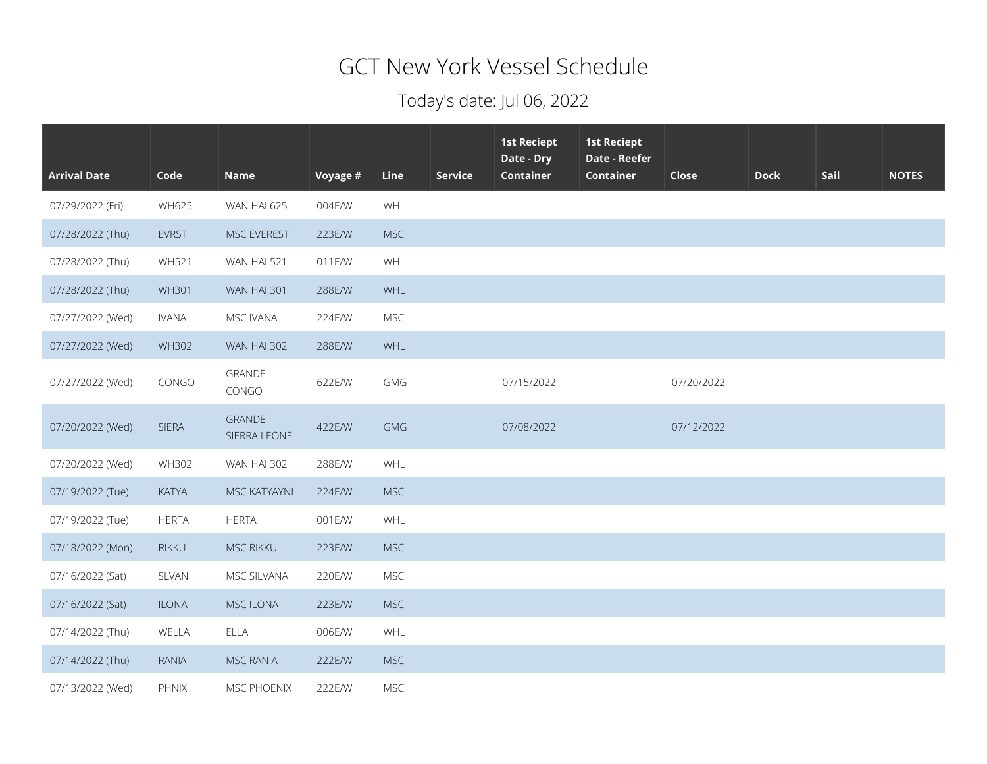## GCT New York Vessel Schedule

## Today's date: Jul 06, 2022

| <b>Arrival Date</b> | Code         | <b>Name</b>                   | Voyage # | Line       | <b>Service</b> | <b>1st Reciept</b><br>Date - Dry<br><b>Container</b> | <b>1st Reciept</b><br>Date - Reefer<br><b>Container</b> | Close      | <b>Dock</b> | Sail | <b>NOTES</b> |
|---------------------|--------------|-------------------------------|----------|------------|----------------|------------------------------------------------------|---------------------------------------------------------|------------|-------------|------|--------------|
| 07/29/2022 (Fri)    | <b>WH625</b> | WAN HAI 625                   | 004E/W   | WHL        |                |                                                      |                                                         |            |             |      |              |
| 07/28/2022 (Thu)    | <b>EVRST</b> | MSC EVEREST                   | 223E/W   | <b>MSC</b> |                |                                                      |                                                         |            |             |      |              |
| 07/28/2022 (Thu)    | <b>WH521</b> | WAN HAI 521                   | 011E/W   | WHL        |                |                                                      |                                                         |            |             |      |              |
| 07/28/2022 (Thu)    | <b>WH301</b> | WAN HAI 301                   | 288E/W   | WHL        |                |                                                      |                                                         |            |             |      |              |
| 07/27/2022 (Wed)    | <b>IVANA</b> | MSC IVANA                     | 224E/W   | <b>MSC</b> |                |                                                      |                                                         |            |             |      |              |
| 07/27/2022 (Wed)    | <b>WH302</b> | WAN HAI 302                   | 288E/W   | WHL        |                |                                                      |                                                         |            |             |      |              |
| 07/27/2022 (Wed)    | CONGO        | <b>GRANDE</b><br>CONGO        | 622E/W   | GMG        |                | 07/15/2022                                           |                                                         | 07/20/2022 |             |      |              |
| 07/20/2022 (Wed)    | <b>SIERA</b> | <b>GRANDE</b><br>SIERRA LEONE | 422E/W   | <b>GMG</b> |                | 07/08/2022                                           |                                                         | 07/12/2022 |             |      |              |
| 07/20/2022 (Wed)    | <b>WH302</b> | WAN HAI 302                   | 288E/W   | WHL        |                |                                                      |                                                         |            |             |      |              |
| 07/19/2022 (Tue)    | <b>KATYA</b> | MSC KATYAYNI                  | 224E/W   | <b>MSC</b> |                |                                                      |                                                         |            |             |      |              |
| 07/19/2022 (Tue)    | <b>HERTA</b> | <b>HERTA</b>                  | 001E/W   | WHL        |                |                                                      |                                                         |            |             |      |              |
| 07/18/2022 (Mon)    | RIKKU        | <b>MSC RIKKU</b>              | 223E/W   | <b>MSC</b> |                |                                                      |                                                         |            |             |      |              |
| 07/16/2022 (Sat)    | SLVAN        | MSC SILVANA                   | 220E/W   | <b>MSC</b> |                |                                                      |                                                         |            |             |      |              |
| 07/16/2022 (Sat)    | <b>ILONA</b> | <b>MSC ILONA</b>              | 223E/W   | <b>MSC</b> |                |                                                      |                                                         |            |             |      |              |
| 07/14/2022 (Thu)    | WELLA        | <b>ELLA</b>                   | 006E/W   | WHL        |                |                                                      |                                                         |            |             |      |              |
| 07/14/2022 (Thu)    | <b>RANIA</b> | <b>MSC RANIA</b>              | 222E/W   | <b>MSC</b> |                |                                                      |                                                         |            |             |      |              |
| 07/13/2022 (Wed)    | PHNIX        | MSC PHOENIX                   | 222E/W   | <b>MSC</b> |                |                                                      |                                                         |            |             |      |              |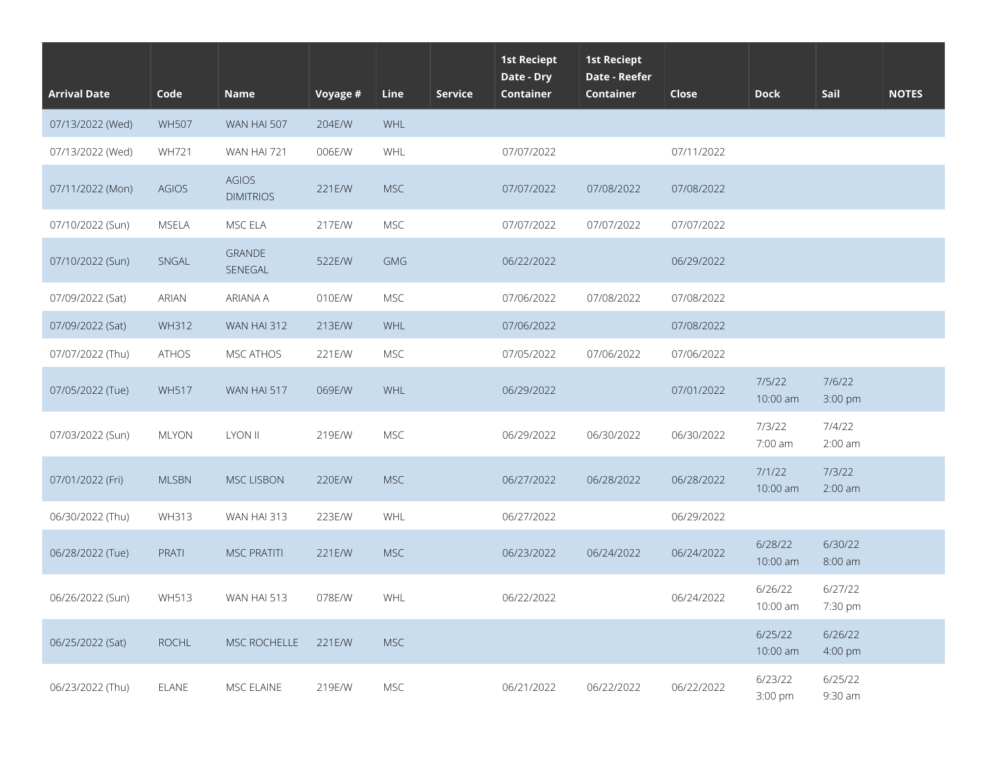| <b>Arrival Date</b> | Code         | <b>Name</b>                      | Voyage # | Line       | <b>Service</b> | <b>1st Reciept</b><br>Date - Dry<br><b>Container</b> | <b>1st Reciept</b><br>Date - Reefer<br><b>Container</b> | Close      | <b>Dock</b>         | Sail                | <b>NOTES</b> |
|---------------------|--------------|----------------------------------|----------|------------|----------------|------------------------------------------------------|---------------------------------------------------------|------------|---------------------|---------------------|--------------|
| 07/13/2022 (Wed)    | <b>WH507</b> | WAN HAI 507                      | 204E/W   | WHL        |                |                                                      |                                                         |            |                     |                     |              |
| 07/13/2022 (Wed)    | WH721        | WAN HAI 721                      | 006E/W   | WHL        |                | 07/07/2022                                           |                                                         | 07/11/2022 |                     |                     |              |
| 07/11/2022 (Mon)    | <b>AGIOS</b> | <b>AGIOS</b><br><b>DIMITRIOS</b> | 221E/W   | <b>MSC</b> |                | 07/07/2022                                           | 07/08/2022                                              | 07/08/2022 |                     |                     |              |
| 07/10/2022 (Sun)    | MSELA        | MSC ELA                          | 217E/W   | <b>MSC</b> |                | 07/07/2022                                           | 07/07/2022                                              | 07/07/2022 |                     |                     |              |
| 07/10/2022 (Sun)    | SNGAL        | <b>GRANDE</b><br>SENEGAL         | 522E/W   | <b>GMG</b> |                | 06/22/2022                                           |                                                         | 06/29/2022 |                     |                     |              |
| 07/09/2022 (Sat)    | <b>ARIAN</b> | ARIANA A                         | 010E/W   | <b>MSC</b> |                | 07/06/2022                                           | 07/08/2022                                              | 07/08/2022 |                     |                     |              |
| 07/09/2022 (Sat)    | <b>WH312</b> | WAN HAI 312                      | 213E/W   | WHL        |                | 07/06/2022                                           |                                                         | 07/08/2022 |                     |                     |              |
| 07/07/2022 (Thu)    | <b>ATHOS</b> | MSC ATHOS                        | 221E/W   | <b>MSC</b> |                | 07/05/2022                                           | 07/06/2022                                              | 07/06/2022 |                     |                     |              |
| 07/05/2022 (Tue)    | <b>WH517</b> | WAN HAI 517                      | 069E/W   | WHL        |                | 06/29/2022                                           |                                                         | 07/01/2022 | 7/5/22<br>10:00 am  | 7/6/22<br>3:00 pm   |              |
| 07/03/2022 (Sun)    | <b>MLYON</b> | <b>LYON II</b>                   | 219E/W   | <b>MSC</b> |                | 06/29/2022                                           | 06/30/2022                                              | 06/30/2022 | 7/3/22<br>7:00 am   | 7/4/22<br>$2:00$ am |              |
| 07/01/2022 (Fri)    | <b>MLSBN</b> | <b>MSC LISBON</b>                | 220E/W   | <b>MSC</b> |                | 06/27/2022                                           | 06/28/2022                                              | 06/28/2022 | 7/1/22<br>10:00 am  | 7/3/22<br>$2:00$ am |              |
| 06/30/2022 (Thu)    | <b>WH313</b> | WAN HAI 313                      | 223E/W   | WHL        |                | 06/27/2022                                           |                                                         | 06/29/2022 |                     |                     |              |
| 06/28/2022 (Tue)    | PRATI        | <b>MSC PRATITI</b>               | 221E/W   | <b>MSC</b> |                | 06/23/2022                                           | 06/24/2022                                              | 06/24/2022 | 6/28/22<br>10:00 am | 6/30/22<br>8:00 am  |              |
| 06/26/2022 (Sun)    | <b>WH513</b> | WAN HAI 513                      | 078E/W   | WHL        |                | 06/22/2022                                           |                                                         | 06/24/2022 | 6/26/22<br>10:00 am | 6/27/22<br>7:30 pm  |              |
| 06/25/2022 (Sat)    | ROCHL        | MSC ROCHELLE                     | 221E/W   | <b>MSC</b> |                |                                                      |                                                         |            | 6/25/22<br>10:00 am | 6/26/22<br>4:00 pm  |              |
| 06/23/2022 (Thu)    | ELANE        | MSC ELAINE                       | 219E/W   | MSC        |                | 06/21/2022                                           | 06/22/2022                                              | 06/22/2022 | 6/23/22<br>3:00 pm  | 6/25/22<br>9:30 am  |              |